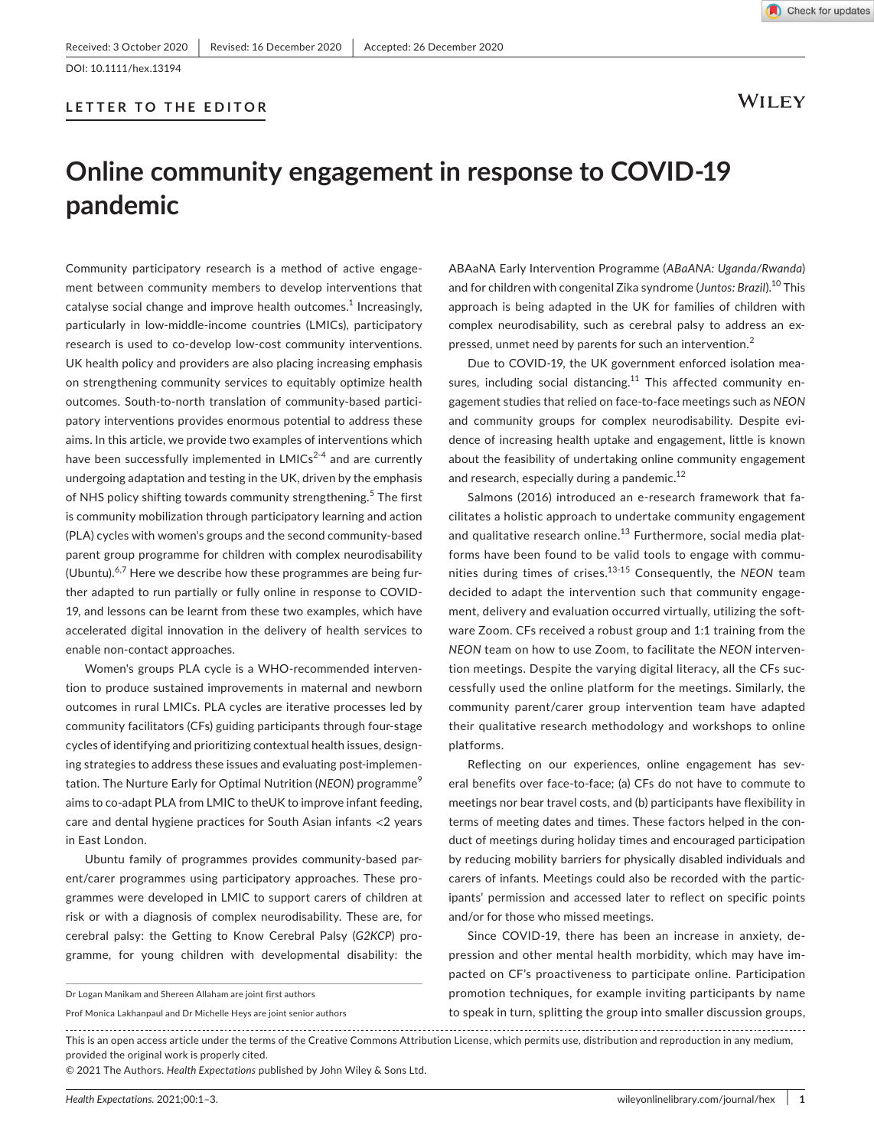## **LETTER TO THE EDITOR**

**WILEY** 

# **Online community engagement in response to COVID-19 pandemic**

Community participatory research is a method of active engagement between community members to develop interventions that catalyse social change and improve health outcomes.<sup>1</sup> Increasingly, particularly in low-middle-income countries (LMICs), participatory research is used to co-develop low-cost community interventions. UK health policy and providers are also placing increasing emphasis on strengthening community services to equitably optimize health outcomes. South-to-north translation of community-based participatory interventions provides enormous potential to address these aims. In this article, we provide two examples of interventions which have been successfully implemented in  $LMICs<sup>2-4</sup>$  and are currently undergoing adaptation and testing in the UK, driven by the emphasis of NHS policy shifting towards community strengthening.<sup>5</sup> The first is community mobilization through participatory learning and action (PLA) cycles with women's groups and the second community-based parent group programme for children with complex neurodisability (Ubuntu). $6,7$  Here we describe how these programmes are being further adapted to run partially or fully online in response to COVID-19, and lessons can be learnt from these two examples, which have accelerated digital innovation in the delivery of health services to enable non-contact approaches.

Women's groups PLA cycle is a WHO-recommended intervention to produce sustained improvements in maternal and newborn outcomes in rural LMICs. PLA cycles are iterative processes led by community facilitators (CFs) guiding participants through four-stage cycles of identifying and prioritizing contextual health issues, designing strategies to address these issues and evaluating post-implementation. The Nurture Early for Optimal Nutrition (NEON) programme<sup>9</sup> aims to co-adapt PLA from LMIC to theUK to improve infant feeding, care and dental hygiene practices for South Asian infants <2 years in East London.

Ubuntu family of programmes provides community-based parent/carer programmes using participatory approaches. These programmes were developed in LMIC to support carers of children at risk or with a diagnosis of complex neurodisability. These are, for cerebral palsy: the Getting to Know Cerebral Palsy (*G2KCP*) programme, for young children with developmental disability: the

ABAaNA Early Intervention Programme (*ABaANA: Uganda/Rwanda*) and for children with congenital Zika syndrome (*Juntos: Brazil*).10 This approach is being adapted in the UK for families of children with complex neurodisability, such as cerebral palsy to address an expressed, unmet need by parents for such an intervention.<sup>2</sup>

Due to COVID-19, the UK government enforced isolation measures, including social distancing. $11$  This affected community engagement studies that relied on face-to-face meetings such as *NEON* and community groups for complex neurodisability. Despite evidence of increasing health uptake and engagement, little is known about the feasibility of undertaking online community engagement and research, especially during a pandemic.<sup>12</sup>

Salmons (2016) introduced an e-research framework that facilitates a holistic approach to undertake community engagement and qualitative research online. $^{13}$  Furthermore, social media platforms have been found to be valid tools to engage with communities during times of crises.13-15 Consequently, the *NEON* team decided to adapt the intervention such that community engagement, delivery and evaluation occurred virtually, utilizing the software Zoom. CFs received a robust group and 1:1 training from the *NEON* team on how to use Zoom, to facilitate the *NEON* intervention meetings. Despite the varying digital literacy, all the CFs successfully used the online platform for the meetings. Similarly, the community parent/carer group intervention team have adapted their qualitative research methodology and workshops to online platforms.

Reflecting on our experiences, online engagement has several benefits over face-to-face; (a) CFs do not have to commute to meetings nor bear travel costs, and (b) participants have flexibility in terms of meeting dates and times. These factors helped in the conduct of meetings during holiday times and encouraged participation by reducing mobility barriers for physically disabled individuals and carers of infants. Meetings could also be recorded with the participants' permission and accessed later to reflect on specific points and/or for those who missed meetings.

Since COVID-19, there has been an increase in anxiety, depression and other mental health morbidity, which may have impacted on CF's proactiveness to participate online. Participation promotion techniques, for example inviting participants by name to speak in turn, splitting the group into smaller discussion groups,

Dr Logan Manikam and Shereen Allaham are joint first authors

Prof Monica Lakhanpaul and Dr Michelle Heys are joint senior authors

This is an open access article under the terms of the [Creative Commons Attribution](http://creativecommons.org/licenses/by/4.0/) License, which permits use, distribution and reproduction in any medium, provided the original work is properly cited.

<sup>© 2021</sup> The Authors. *Health Expectations* published by John Wiley & Sons Ltd.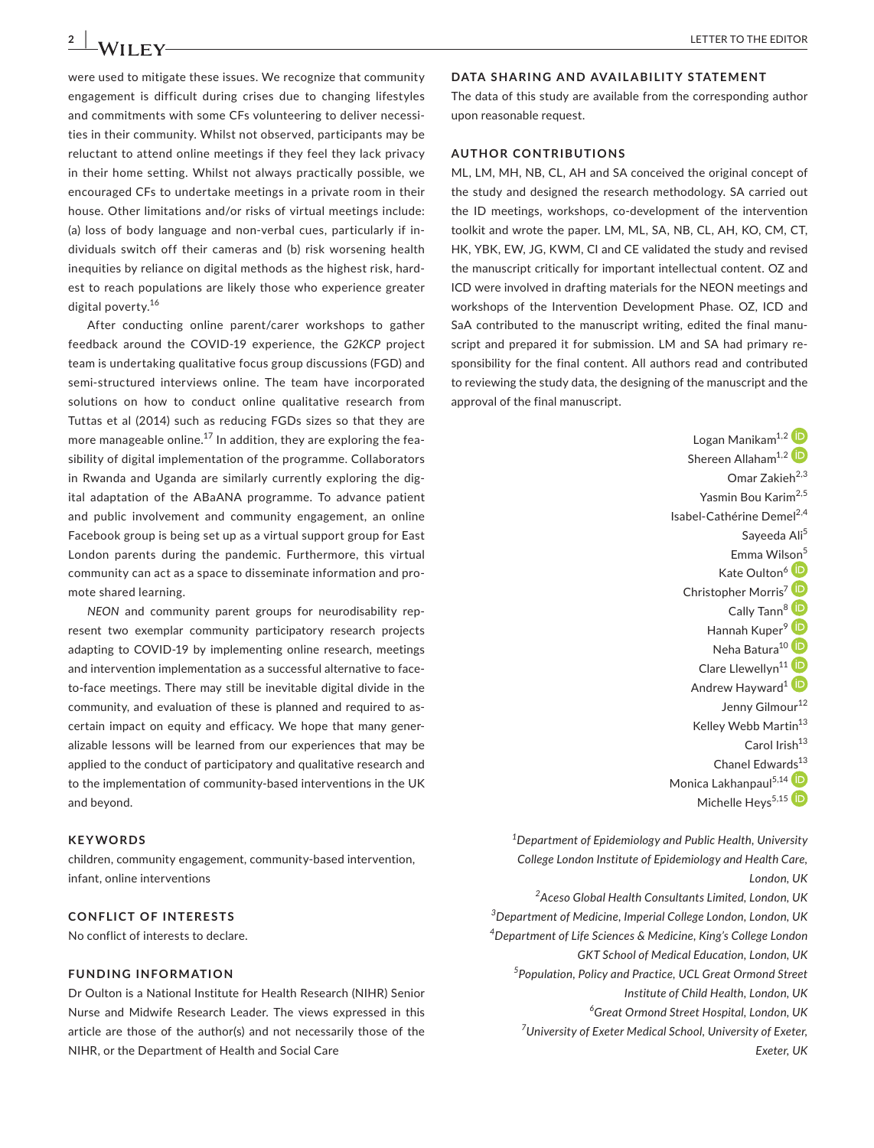were used to mitigate these issues. We recognize that community engagement is difficult during crises due to changing lifestyles and commitments with some CFs volunteering to deliver necessities in their community. Whilst not observed, participants may be reluctant to attend online meetings if they feel they lack privacy in their home setting. Whilst not always practically possible, we encouraged CFs to undertake meetings in a private room in their house. Other limitations and/or risks of virtual meetings include: (a) loss of body language and non-verbal cues, particularly if individuals switch off their cameras and (b) risk worsening health inequities by reliance on digital methods as the highest risk, hardest to reach populations are likely those who experience greater digital poverty.<sup>16</sup>

After conducting online parent/carer workshops to gather feedback around the COVID-19 experience, the *G2KCP* project team is undertaking qualitative focus group discussions (FGD) and semi-structured interviews online. The team have incorporated solutions on how to conduct online qualitative research from Tuttas et al (2014) such as reducing FGDs sizes so that they are more manageable online.<sup>17</sup> In addition, they are exploring the feasibility of digital implementation of the programme. Collaborators in Rwanda and Uganda are similarly currently exploring the digital adaptation of the ABaANA programme. To advance patient and public involvement and community engagement, an online Facebook group is being set up as a virtual support group for East London parents during the pandemic. Furthermore, this virtual community can act as a space to disseminate information and promote shared learning.

*NEON* and community parent groups for neurodisability represent two exemplar community participatory research projects adapting to COVID-19 by implementing online research, meetings and intervention implementation as a successful alternative to faceto-face meetings. There may still be inevitable digital divide in the community, and evaluation of these is planned and required to ascertain impact on equity and efficacy. We hope that many generalizable lessons will be learned from our experiences that may be applied to the conduct of participatory and qualitative research and to the implementation of community-based interventions in the UK and beyond.

#### **KEYWORDS**

children, community engagement, community-based intervention, infant, online interventions

## **CONFLICT OF INTERESTS**

No conflict of interests to declare.

#### **FUNDING INFORMATION**

Dr Oulton is a National Institute for Health Research (NIHR) Senior Nurse and Midwife Research Leader. The views expressed in this article are those of the author(s) and not necessarily those of the NIHR, or the Department of Health and Social Care

## **DATA SHARING AND AVAILABILITY STATEMENT**

The data of this study are available from the corresponding author upon reasonable request.

## **AUTHOR CONTRIBUTIONS**

ML, LM, MH, NB, CL, AH and SA conceived the original concept of the study and designed the research methodology. SA carried out the ID meetings, workshops, co-development of the intervention toolkit and wrote the paper. LM, ML, SA, NB, CL, AH, KO, CM, CT, HK, YBK, EW, JG, KWM, CI and CE validated the study and revised the manuscript critically for important intellectual content. OZ and ICD were involved in drafting materials for the NEON meetings and workshops of the Intervention Development Phase. OZ, ICD and SaA contributed to the manuscript writing, edited the final manuscript and prepared it for submission. LM and SA had primary responsibility for the final content. All authors read and contributed to reviewing the study data, the designing of the manuscript and the approval of the final manuscript.

> Logan Manikam<sup>1,[2](https://orcid.org/0000-0001-5288-3325)</sup> Shereen Allaham<sup>1,[2](https://orcid.org/0000-0003-0275-3228)</sup> Omar Zakie $h^{2,3}$ Yasmin Bou Karim<sup>2,5</sup> Isabel-Cathérine Demel<sup>2,4</sup> Sayeeda Ali<sup>5</sup> Emma Wil[son](https://orcid.org/0000-0002-5778-3849)<sup>5</sup> Kate Oulton<sup>6</sup> <sup>iD</sup> Christopher Morris<sup>[7](https://orcid.org/0000-0002-9916-507X)</sup><sup>(D</sup> Cally Tann<sup>[8](https://orcid.org/0000-0003-0131-4952)</sup> Hannah Kuper<sup>[9](https://orcid.org/0000-0002-8952-0023)</sup> ID Neha Batura<sup>1[0](https://orcid.org/0000-0002-8175-8125)</sup> Clare Llewellyn<sup>[1](https://orcid.org/0000-0002-0066-2827)1</sup> Andrew Hayward<sup>[1](https://orcid.org/0000-0002-3549-6232)</sup> Jenny Gilmour<sup>12</sup> Kelley Webb Martin<sup>13</sup> Carol Irish<sup>13</sup> Chanel Edwar[ds](https://orcid.org/0000-0002-9855-2043)<sup>13</sup> Monica Lakhanpaul<sup>5,14</sup> D Michelle Heys<sup>[5](https://orcid.org/0000-0002-1458-505X),15</sup>

*1 Department of Epidemiology and Public Health, University College London Institute of Epidemiology and Health Care, London, UK 2 Aceso Global Health Consultants Limited, London, UK 3 Department of Medicine, Imperial College London, London, UK 4 Department of Life Sciences & Medicine, King's College London GKT School of Medical Education, London, UK 5 Population, Policy and Practice, UCL Great Ormond Street Institute of Child Health, London, UK 6 Great Ormond Street Hospital, London, UK 7 University of Exeter Medical School, University of Exeter, Exeter, UK*